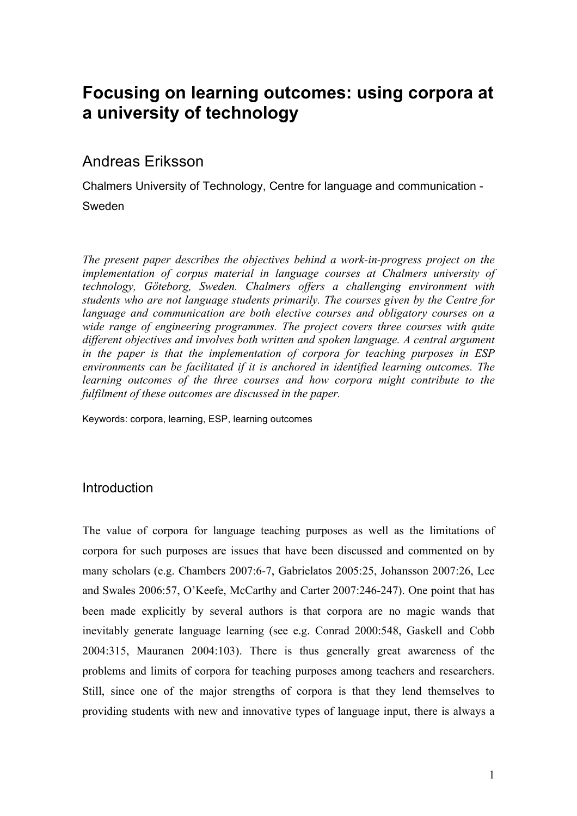# **Focusing on learning outcomes: using corpora at a university of technology**

## Andreas Eriksson

Chalmers University of Technology, Centre for language and communication - Sweden

*The present paper describes the objectives behind a work-in-progress project on the implementation of corpus material in language courses at Chalmers university of technology, Göteborg, Sweden. Chalmers offers a challenging environment with students who are not language students primarily. The courses given by the Centre for language and communication are both elective courses and obligatory courses on a wide range of engineering programmes. The project covers three courses with quite different objectives and involves both written and spoken language. A central argument in the paper is that the implementation of corpora for teaching purposes in ESP environments can be facilitated if it is anchored in identified learning outcomes. The learning outcomes of the three courses and how corpora might contribute to the fulfilment of these outcomes are discussed in the paper.*

Keywords: corpora, learning, ESP, learning outcomes

### Introduction

The value of corpora for language teaching purposes as well as the limitations of corpora for such purposes are issues that have been discussed and commented on by many scholars (e.g. Chambers 2007:6-7, Gabrielatos 2005:25, Johansson 2007:26, Lee and Swales 2006:57, O'Keefe, McCarthy and Carter 2007:246-247). One point that has been made explicitly by several authors is that corpora are no magic wands that inevitably generate language learning (see e.g. Conrad 2000:548, Gaskell and Cobb 2004:315, Mauranen 2004:103). There is thus generally great awareness of the problems and limits of corpora for teaching purposes among teachers and researchers. Still, since one of the major strengths of corpora is that they lend themselves to providing students with new and innovative types of language input, there is always a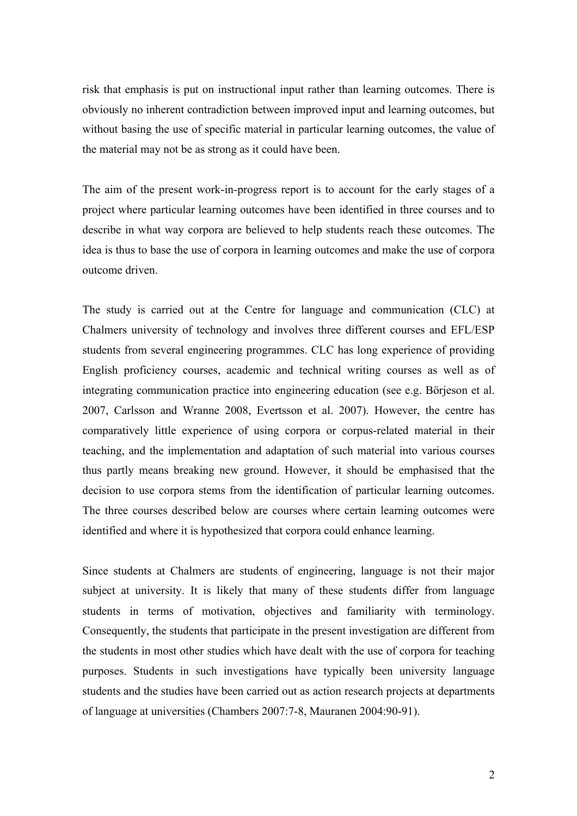risk that emphasis is put on instructional input rather than learning outcomes. There is obviously no inherent contradiction between improved input and learning outcomes, but without basing the use of specific material in particular learning outcomes, the value of the material may not be as strong as it could have been.

The aim of the present work-in-progress report is to account for the early stages of a project where particular learning outcomes have been identified in three courses and to describe in what way corpora are believed to help students reach these outcomes. The idea is thus to base the use of corpora in learning outcomes and make the use of corpora outcome driven.

The study is carried out at the Centre for language and communication (CLC) at Chalmers university of technology and involves three different courses and EFL/ESP students from several engineering programmes. CLC has long experience of providing English proficiency courses, academic and technical writing courses as well as of integrating communication practice into engineering education (see e.g. Börjeson et al. 2007, Carlsson and Wranne 2008, Evertsson et al. 2007). However, the centre has comparatively little experience of using corpora or corpus-related material in their teaching, and the implementation and adaptation of such material into various courses thus partly means breaking new ground. However, it should be emphasised that the decision to use corpora stems from the identification of particular learning outcomes. The three courses described below are courses where certain learning outcomes were identified and where it is hypothesized that corpora could enhance learning.

Since students at Chalmers are students of engineering, language is not their major subject at university. It is likely that many of these students differ from language students in terms of motivation, objectives and familiarity with terminology. Consequently, the students that participate in the present investigation are different from the students in most other studies which have dealt with the use of corpora for teaching purposes. Students in such investigations have typically been university language students and the studies have been carried out as action research projects at departments of language at universities (Chambers 2007:7-8, Mauranen 2004:90-91).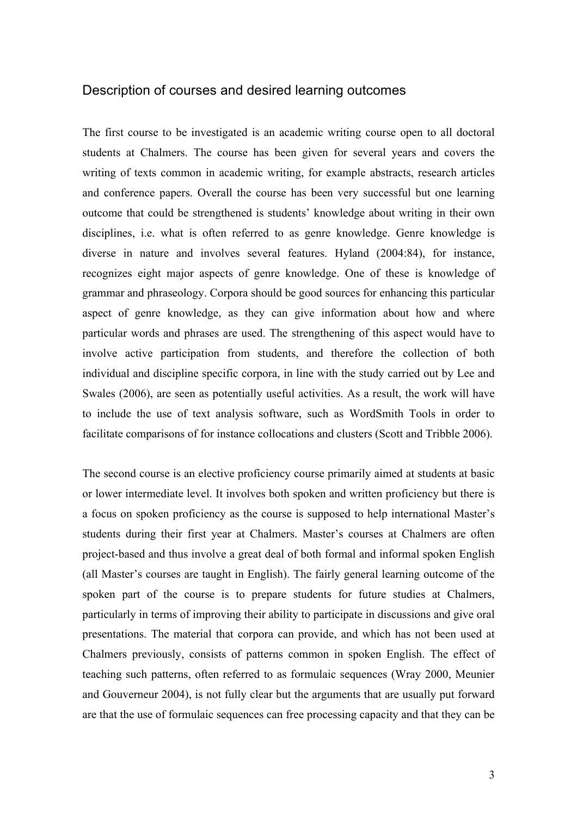#### Description of courses and desired learning outcomes

The first course to be investigated is an academic writing course open to all doctoral students at Chalmers. The course has been given for several years and covers the writing of texts common in academic writing, for example abstracts, research articles and conference papers. Overall the course has been very successful but one learning outcome that could be strengthened is students' knowledge about writing in their own disciplines, i.e. what is often referred to as genre knowledge. Genre knowledge is diverse in nature and involves several features. Hyland (2004:84), for instance, recognizes eight major aspects of genre knowledge. One of these is knowledge of grammar and phraseology. Corpora should be good sources for enhancing this particular aspect of genre knowledge, as they can give information about how and where particular words and phrases are used. The strengthening of this aspect would have to involve active participation from students, and therefore the collection of both individual and discipline specific corpora, in line with the study carried out by Lee and Swales (2006), are seen as potentially useful activities. As a result, the work will have to include the use of text analysis software, such as WordSmith Tools in order to facilitate comparisons of for instance collocations and clusters (Scott and Tribble 2006).

The second course is an elective proficiency course primarily aimed at students at basic or lower intermediate level. It involves both spoken and written proficiency but there is a focus on spoken proficiency as the course is supposed to help international Master's students during their first year at Chalmers. Master's courses at Chalmers are often project-based and thus involve a great deal of both formal and informal spoken English (all Master's courses are taught in English). The fairly general learning outcome of the spoken part of the course is to prepare students for future studies at Chalmers, particularly in terms of improving their ability to participate in discussions and give oral presentations. The material that corpora can provide, and which has not been used at Chalmers previously, consists of patterns common in spoken English. The effect of teaching such patterns, often referred to as formulaic sequences (Wray 2000, Meunier and Gouverneur 2004), is not fully clear but the arguments that are usually put forward are that the use of formulaic sequences can free processing capacity and that they can be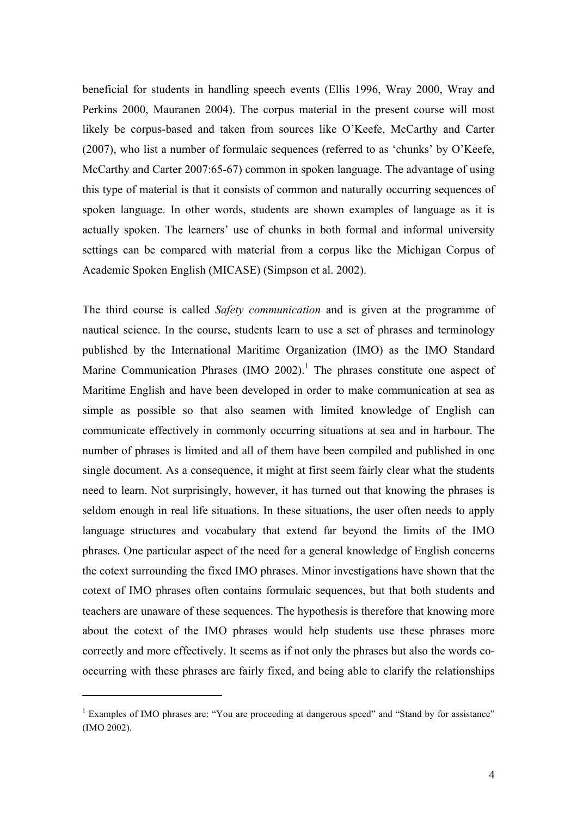beneficial for students in handling speech events (Ellis 1996, Wray 2000, Wray and Perkins 2000, Mauranen 2004). The corpus material in the present course will most likely be corpus-based and taken from sources like O'Keefe, McCarthy and Carter (2007), who list a number of formulaic sequences (referred to as 'chunks' by O'Keefe, McCarthy and Carter 2007:65-67) common in spoken language. The advantage of using this type of material is that it consists of common and naturally occurring sequences of spoken language. In other words, students are shown examples of language as it is actually spoken. The learners' use of chunks in both formal and informal university settings can be compared with material from a corpus like the Michigan Corpus of Academic Spoken English (MICASE) (Simpson et al. 2002).

The third course is called *Safety communication* and is given at the programme of nautical science. In the course, students learn to use a set of phrases and terminology published by the International Maritime Organization (IMO) as the IMO Standard Marine Communication Phrases (IMO 2002).<sup>1</sup> The phrases constitute one aspect of Maritime English and have been developed in order to make communication at sea as simple as possible so that also seamen with limited knowledge of English can communicate effectively in commonly occurring situations at sea and in harbour. The number of phrases is limited and all of them have been compiled and published in one single document. As a consequence, it might at first seem fairly clear what the students need to learn. Not surprisingly, however, it has turned out that knowing the phrases is seldom enough in real life situations. In these situations, the user often needs to apply language structures and vocabulary that extend far beyond the limits of the IMO phrases. One particular aspect of the need for a general knowledge of English concerns the cotext surrounding the fixed IMO phrases. Minor investigations have shown that the cotext of IMO phrases often contains formulaic sequences, but that both students and teachers are unaware of these sequences. The hypothesis is therefore that knowing more about the cotext of the IMO phrases would help students use these phrases more correctly and more effectively. It seems as if not only the phrases but also the words cooccurring with these phrases are fairly fixed, and being able to clarify the relationships

 $\overline{a}$ 

<sup>&</sup>lt;sup>1</sup> Examples of IMO phrases are: "You are proceeding at dangerous speed" and "Stand by for assistance" (IMO 2002).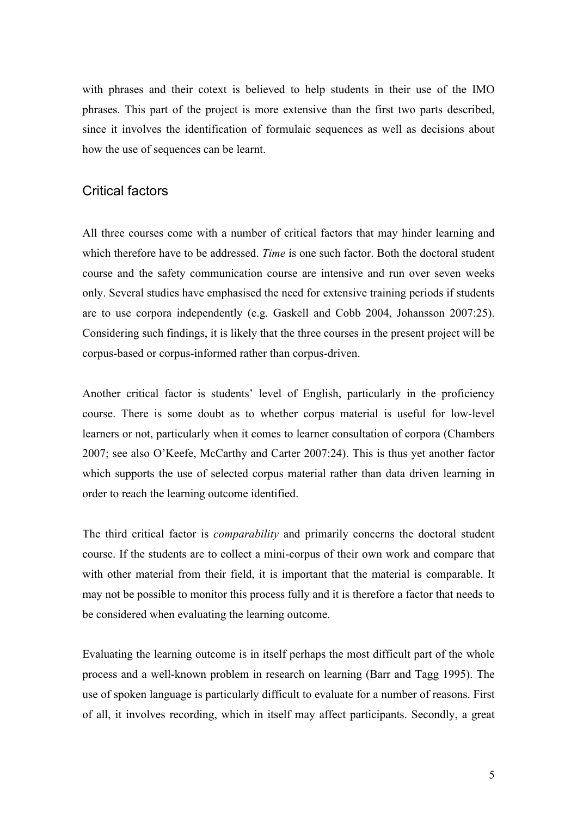with phrases and their cotext is believed to help students in their use of the IMO phrases. This part of the project is more extensive than the first two parts described, since it involves the identification of formulaic sequences as well as decisions about how the use of sequences can be learnt.

#### Critical factors

All three courses come with a number of critical factors that may hinder learning and which therefore have to be addressed. *Time* is one such factor. Both the doctoral student course and the safety communication course are intensive and run over seven weeks only. Several studies have emphasised the need for extensive training periods if students are to use corpora independently (e.g. Gaskell and Cobb 2004, Johansson 2007:25). Considering such findings, it is likely that the three courses in the present project will be corpus-based or corpus-informed rather than corpus-driven.

Another critical factor is students' level of English, particularly in the proficiency course. There is some doubt as to whether corpus material is useful for low-level learners or not, particularly when it comes to learner consultation of corpora (Chambers 2007; see also O'Keefe, McCarthy and Carter 2007:24). This is thus yet another factor which supports the use of selected corpus material rather than data driven learning in order to reach the learning outcome identified.

The third critical factor is *comparability* and primarily concerns the doctoral student course. If the students are to collect a mini-corpus of their own work and compare that with other material from their field, it is important that the material is comparable. It may not be possible to monitor this process fully and it is therefore a factor that needs to be considered when evaluating the learning outcome.

Evaluating the learning outcome is in itself perhaps the most difficult part of the whole process and a well-known problem in research on learning (Barr and Tagg 1995). The use of spoken language is particularly difficult to evaluate for a number of reasons. First of all, it involves recording, which in itself may affect participants. Secondly, a great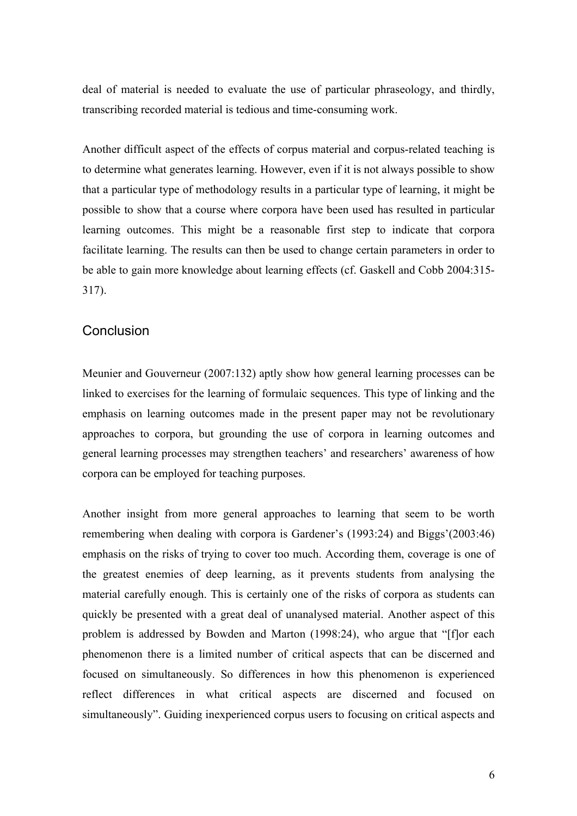deal of material is needed to evaluate the use of particular phraseology, and thirdly, transcribing recorded material is tedious and time-consuming work.

Another difficult aspect of the effects of corpus material and corpus-related teaching is to determine what generates learning. However, even if it is not always possible to show that a particular type of methodology results in a particular type of learning, it might be possible to show that a course where corpora have been used has resulted in particular learning outcomes. This might be a reasonable first step to indicate that corpora facilitate learning. The results can then be used to change certain parameters in order to be able to gain more knowledge about learning effects (cf. Gaskell and Cobb 2004:315- 317).

#### **Conclusion**

Meunier and Gouverneur (2007:132) aptly show how general learning processes can be linked to exercises for the learning of formulaic sequences. This type of linking and the emphasis on learning outcomes made in the present paper may not be revolutionary approaches to corpora, but grounding the use of corpora in learning outcomes and general learning processes may strengthen teachers' and researchers' awareness of how corpora can be employed for teaching purposes.

Another insight from more general approaches to learning that seem to be worth remembering when dealing with corpora is Gardener's (1993:24) and Biggs'(2003:46) emphasis on the risks of trying to cover too much. According them, coverage is one of the greatest enemies of deep learning, as it prevents students from analysing the material carefully enough. This is certainly one of the risks of corpora as students can quickly be presented with a great deal of unanalysed material. Another aspect of this problem is addressed by Bowden and Marton (1998:24), who argue that "[f]or each phenomenon there is a limited number of critical aspects that can be discerned and focused on simultaneously. So differences in how this phenomenon is experienced reflect differences in what critical aspects are discerned and focused on simultaneously". Guiding inexperienced corpus users to focusing on critical aspects and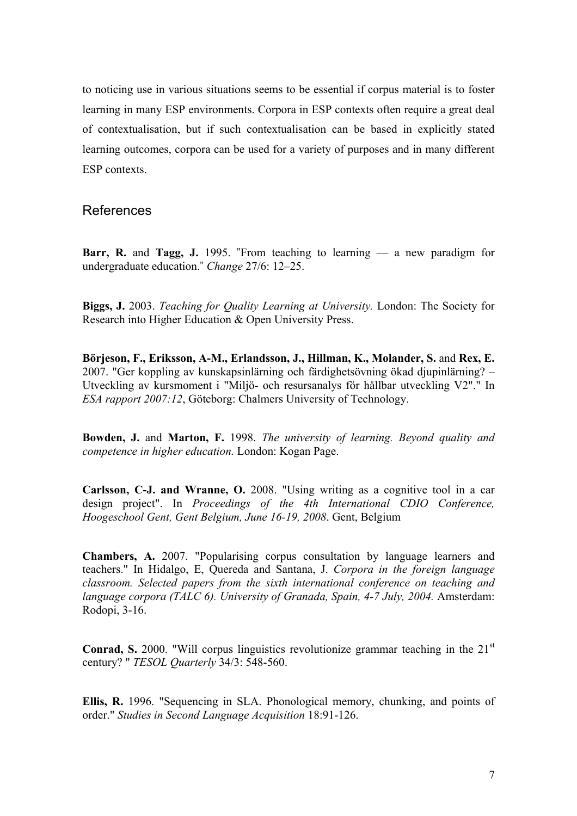to noticing use in various situations seems to be essential if corpus material is to foster learning in many ESP environments. Corpora in ESP contexts often require a great deal of contextualisation, but if such contextualisation can be based in explicitly stated learning outcomes, corpora can be used for a variety of purposes and in many different ESP contexts.

#### References

**Barr, R.** and **Tagg, J.** 1995. "From teaching to learning — a new paradigm for undergraduate education." *Change* 27/6: 12–25.

**Biggs, J.** 2003. *Teaching for Quality Learning at University.* London: The Society for Research into Higher Education & Open University Press.

**Börjeson, F., Eriksson, A-M., Erlandsson, J., Hillman, K., Molander, S.** and **Rex, E.**  2007. "Ger koppling av kunskapsinlärning och färdighetsövning ökad djupinlärning? – Utveckling av kursmoment i "Miljö- och resursanalys för hållbar utveckling V2"." In *ESA rapport 2007:12*, Göteborg: Chalmers University of Technology.

**Bowden, J.** and **Marton, F.** 1998. *The university of learning. Beyond quality and competence in higher education.* London: Kogan Page.

**Carlsson, C-J. and Wranne, O.** 2008. "Using writing as a cognitive tool in a car design project". In *Proceedings of the 4th International CDIO Conference, Hoogeschool Gent, Gent Belgium, June 16-19, 2008*. Gent, Belgium

**Chambers, A.** 2007. "Popularising corpus consultation by language learners and teachers." In Hidalgo, E, Quereda and Santana, J. *Corpora in the foreign language classroom. Selected papers from the sixth international conference on teaching and language corpora (TALC 6). University of Granada, Spain, 4-7 July, 2004.* Amsterdam: Rodopi, 3-16.

**Conrad, S.** 2000. "Will corpus linguistics revolutionize grammar teaching in the 21<sup>st</sup> century? " *TESOL Quarterly* 34/3: 548-560.

**Ellis, R.** 1996. "Sequencing in SLA. Phonological memory, chunking, and points of order." *Studies in Second Language Acquisition* 18:91-126.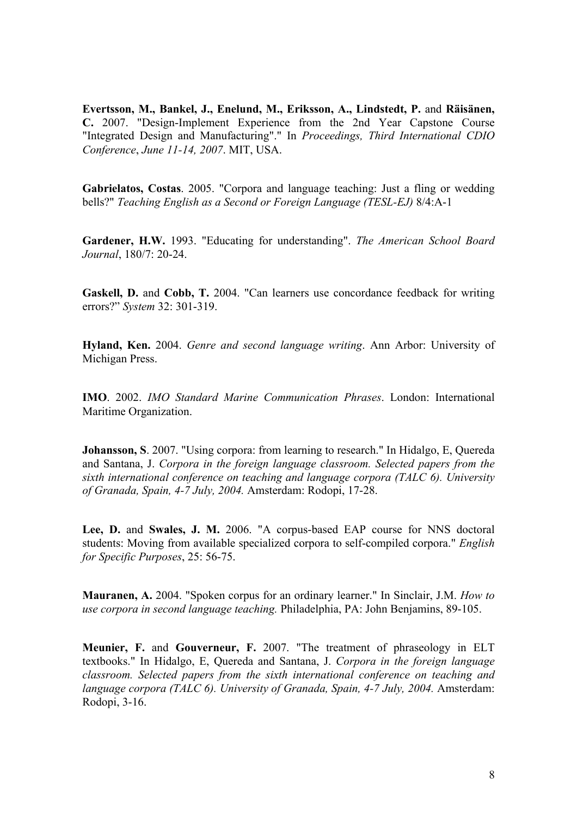**Evertsson, M., Bankel, J., Enelund, M., Eriksson, A., Lindstedt, P.** and **Räisänen, C.** 2007. "Design-Implement Experience from the 2nd Year Capstone Course "Integrated Design and Manufacturing"." In *Proceedings, Third International CDIO Conference*, *June 11-14, 2007*. MIT, USA.

**Gabrielatos, Costas**. 2005. "Corpora and language teaching: Just a fling or wedding bells?" *Teaching English as a Second or Foreign Language (TESL-EJ)* 8/4:A-1

**Gardener, H.W.** 1993. "Educating for understanding". *The American School Board Journal*, 180/7: 20-24.

**Gaskell, D.** and **Cobb, T.** 2004. "Can learners use concordance feedback for writing errors?" *System* 32: 301-319.

**Hyland, Ken.** 2004. *Genre and second language writing*. Ann Arbor: University of Michigan Press.

**IMO**. 2002. *IMO Standard Marine Communication Phrases*. London: International Maritime Organization.

**Johansson, S**. 2007. "Using corpora: from learning to research." In Hidalgo, E, Quereda and Santana, J. *Corpora in the foreign language classroom. Selected papers from the sixth international conference on teaching and language corpora (TALC 6). University of Granada, Spain, 4-7 July, 2004.* Amsterdam: Rodopi, 17-28.

**Lee, D.** and **Swales, J. M.** 2006. "A corpus-based EAP course for NNS doctoral students: Moving from available specialized corpora to self-compiled corpora." *English for Specific Purposes*, 25: 56-75.

**Mauranen, A.** 2004. "Spoken corpus for an ordinary learner." In Sinclair, J.M. *How to use corpora in second language teaching.* Philadelphia, PA: John Benjamins, 89-105.

**Meunier, F.** and **Gouverneur, F.** 2007. "The treatment of phraseology in ELT textbooks." In Hidalgo, E, Quereda and Santana, J. *Corpora in the foreign language classroom. Selected papers from the sixth international conference on teaching and language corpora (TALC 6). University of Granada, Spain, 4-7 July, 2004.* Amsterdam: Rodopi, 3-16.